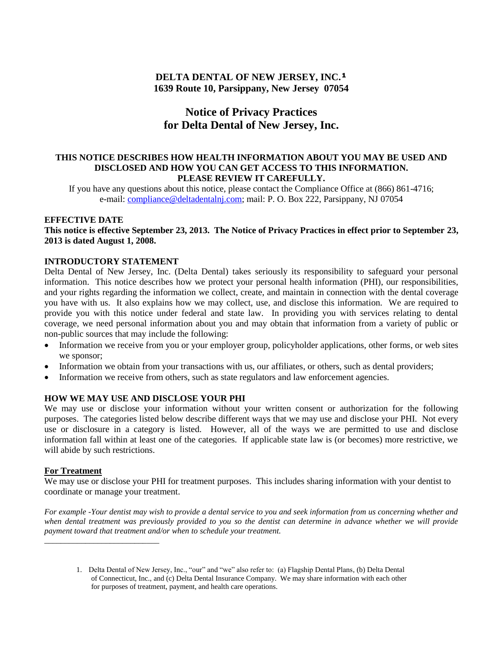# **DELTA DENTAL OF NEW JERSEY, INC.¹ 1639 Route 10, Parsippany, New Jersey 07054**

# **Notice of Privacy Practices for Delta Dental of New Jersey, Inc.**

#### **THIS NOTICE DESCRIBES HOW HEALTH INFORMATION ABOUT YOU MAY BE USED AND DISCLOSED AND HOW YOU CAN GET ACCESS TO THIS INFORMATION. PLEASE REVIEW IT CAREFULLY.**

If you have any questions about this notice, please contact the Compliance Office at (866) 861-4716; e-mail: [compliance@deltadentalnj.com;](mailto:compliance@deltadentalnj.com) mail: P. O. Box 222, Parsippany, NJ 07054

## **EFFECTIVE DATE**

**This notice is effective September 23, 2013. The Notice of Privacy Practices in effect prior to September 23, 2013 is dated August 1, 2008.**

#### **INTRODUCTORY STATEMENT**

Delta Dental of New Jersey, Inc. (Delta Dental) takes seriously its responsibility to safeguard your personal information. This notice describes how we protect your personal health information (PHI), our responsibilities, and your rights regarding the information we collect, create, and maintain in connection with the dental coverage you have with us. It also explains how we may collect, use, and disclose this information. We are required to provide you with this notice under federal and state law. In providing you with services relating to dental coverage, we need personal information about you and may obtain that information from a variety of public or non-public sources that may include the following:

- Information we receive from you or your employer group, policyholder applications, other forms, or web sites we sponsor;
- Information we obtain from your transactions with us, our affiliates, or others, such as dental providers;
- Information we receive from others, such as state regulators and law enforcement agencies.

#### **HOW WE MAY USE AND DISCLOSE YOUR PHI**

We may use or disclose your information without your written consent or authorization for the following purposes. The categories listed below describe different ways that we may use and disclose your PHI. Not every use or disclosure in a category is listed. However, all of the ways we are permitted to use and disclose information fall within at least one of the categories. If applicable state law is (or becomes) more restrictive, we will abide by such restrictions.

#### **For Treatment**

*\_\_\_\_\_\_\_\_\_\_\_\_\_\_\_\_\_\_\_\_\_\_\_\_\_\_\_\_*

We may use or disclose your PHI for treatment purposes. This includes sharing information with your dentist to coordinate or manage your treatment.

*For example -Your dentist may wish to provide a dental service to you and seek information from us concerning whether and*  when dental treatment was previously provided to you so the dentist can determine in advance whether we will provide *payment toward that treatment and/or when to schedule your treatment.*

<sup>1.</sup> Delta Dental of New Jersey, Inc., "our" and "we" also refer to: (a) Flagship Dental Plans, (b) Delta Dental of Connecticut, Inc., and (c) Delta Dental Insurance Company. We may share information with each other for purposes of treatment, payment, and health care operations.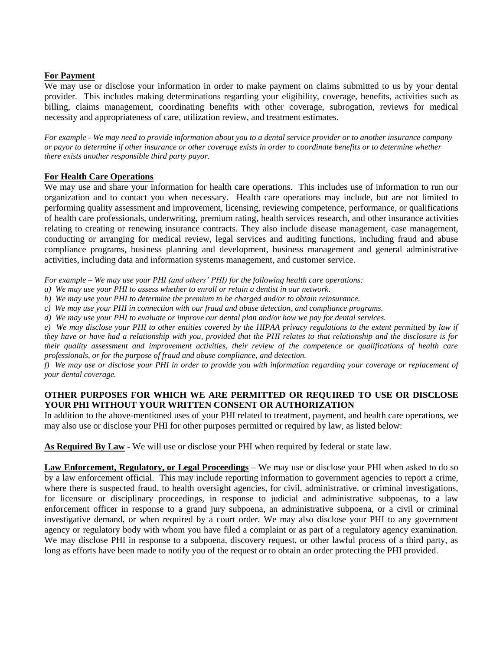## **For Payment**

We may use or disclose your information in order to make payment on claims submitted to us by your dental provider. This includes making determinations regarding your eligibility, coverage, benefits, activities such as billing, claims management, coordinating benefits with other coverage, subrogation, reviews for medical necessity and appropriateness of care, utilization review, and treatment estimates.

*For example - We may need to provide information about you to a dental service provider or to another insurance company or payor to determine if other insurance or other coverage exists in order to coordinate benefits or to determine whether there exists another responsible third party payor.*

# **For Health Care Operations**

We may use and share your information for health care operations. This includes use of information to run our organization and to contact you when necessary. Health care operations may include, but are not limited to performing quality assessment and improvement, licensing, reviewing competence, performance, or qualifications of health care professionals, underwriting, premium rating, health services research, and other insurance activities relating to creating or renewing insurance contracts. They also include disease management, case management, conducting or arranging for medical review, legal services and auditing functions, including fraud and abuse compliance programs, business planning and development, business management and general administrative activities, including data and information systems management, and customer service.

*For example – We may use your PHI (and others' PHI) for the following health care operations:*

- *a) We may use your PHI to assess whether to enroll or retain a dentist in our network.*
- *b) We may use your PHI to determine the premium to be charged and/or to obtain reinsurance.*
- *c) We may use your PHI in connection with our fraud and abuse detection, and compliance programs.*
- *d) We may use your PHI to evaluate or improve our dental plan and/or how we pay for dental services.*

*e) We may disclose your PHI to other entities covered by the HIPAA privacy regulations to the extent permitted by law if they have or have had a relationship with you, provided that the PHI relates to that relationship and the disclosure is for their quality assessment and improvement activities, their review of the competence or qualifications of health care professionals, or for the purpose of fraud and abuse compliance, and detection.*

*f) We may use or disclose your PHI in order to provide you with information regarding your coverage or replacement of your dental coverage.*

# **OTHER PURPOSES FOR WHICH WE ARE PERMITTED OR REQUIRED TO USE OR DISCLOSE YOUR PHI WITHOUT YOUR WRITTEN CONSENT OR AUTHORIZATION**

In addition to the above-mentioned uses of your PHI related to treatment, payment, and health care operations, we may also use or disclose your PHI for other purposes permitted or required by law, as listed below:

**As Required By Law** - We will use or disclose your PHI when required by federal or state law.

**Law Enforcement, Regulatory, or Legal Proceedings** – We may use or disclose your PHI when asked to do so by a law enforcement official. This may include reporting information to government agencies to report a crime, where there is suspected fraud, to health oversight agencies, for civil, administrative, or criminal investigations, for licensure or disciplinary proceedings, in response to judicial and administrative subpoenas, to a law enforcement officer in response to a grand jury subpoena, an administrative subpoena, or a civil or criminal investigative demand, or when required by a court order. We may also disclose your PHI to any government agency or regulatory body with whom you have filed a complaint or as part of a regulatory agency examination. We may disclose PHI in response to a subpoena, discovery request, or other lawful process of a third party, as long as efforts have been made to notify you of the request or to obtain an order protecting the PHI provided.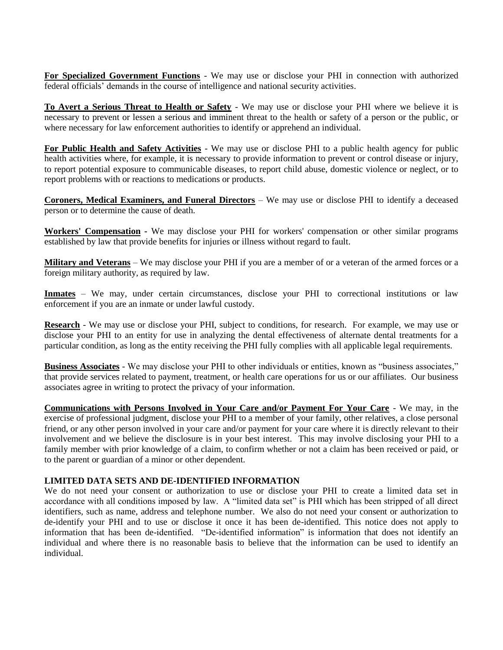**For Specialized Government Functions** - We may use or disclose your PHI in connection with authorized federal officials' demands in the course of intelligence and national security activities.

**To Avert a Serious Threat to Health or Safety** - We may use or disclose your PHI where we believe it is necessary to prevent or lessen a serious and imminent threat to the health or safety of a person or the public, or where necessary for law enforcement authorities to identify or apprehend an individual.

**For Public Health and Safety Activities** - We may use or disclose PHI to a public health agency for public health activities where, for example, it is necessary to provide information to prevent or control disease or injury, to report potential exposure to communicable diseases, to report child abuse, domestic violence or neglect, or to report problems with or reactions to medications or products.

**Coroners, Medical Examiners, and Funeral Directors** – We may use or disclose PHI to identify a deceased person or to determine the cause of death.

**Workers' Compensation -** We may disclose your PHI for workers' compensation or other similar programs established by law that provide benefits for injuries or illness without regard to fault.

**Military and Veterans** – We may disclose your PHI if you are a member of or a veteran of the armed forces or a foreign military authority, as required by law.

**Inmates** – We may, under certain circumstances, disclose your PHI to correctional institutions or law enforcement if you are an inmate or under lawful custody.

**Research** - We may use or disclose your PHI, subject to conditions, for research. For example, we may use or disclose your PHI to an entity for use in analyzing the dental effectiveness of alternate dental treatments for a particular condition, as long as the entity receiving the PHI fully complies with all applicable legal requirements.

**Business Associates** - We may disclose your PHI to other individuals or entities, known as "business associates," that provide services related to payment, treatment, or health care operations for us or our affiliates. Our business associates agree in writing to protect the privacy of your information.

**Communications with Persons Involved in Your Care and/or Payment For Your Care** - We may, in the exercise of professional judgment, disclose your PHI to a member of your family, other relatives, a close personal friend, or any other person involved in your care and/or payment for your care where it is directly relevant to their involvement and we believe the disclosure is in your best interest. This may involve disclosing your PHI to a family member with prior knowledge of a claim, to confirm whether or not a claim has been received or paid, or to the parent or guardian of a minor or other dependent.

## **LIMITED DATA SETS AND DE-IDENTIFIED INFORMATION**

We do not need your consent or authorization to use or disclose your PHI to create a limited data set in accordance with all conditions imposed by law. A "limited data set" is PHI which has been stripped of all direct identifiers, such as name, address and telephone number. We also do not need your consent or authorization to de-identify your PHI and to use or disclose it once it has been de-identified. This notice does not apply to information that has been de-identified. "De-identified information" is information that does not identify an individual and where there is no reasonable basis to believe that the information can be used to identify an individual.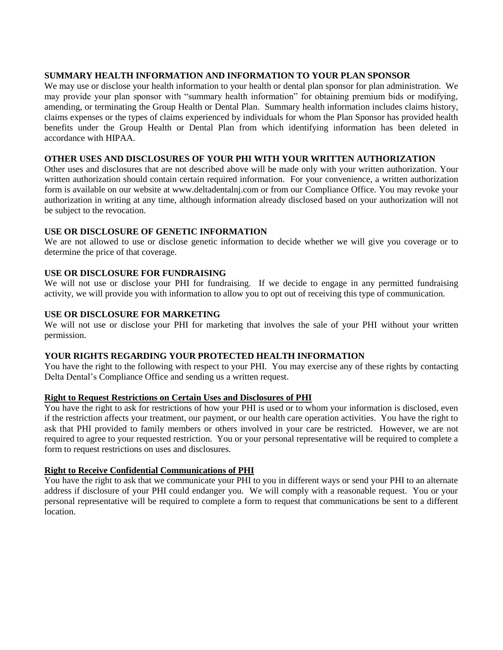#### **SUMMARY HEALTH INFORMATION AND INFORMATION TO YOUR PLAN SPONSOR**

We may use or disclose your health information to your health or dental plan sponsor for plan administration. We may provide your plan sponsor with "summary health information" for obtaining premium bids or modifying, amending, or terminating the Group Health or Dental Plan. Summary health information includes claims history, claims expenses or the types of claims experienced by individuals for whom the Plan Sponsor has provided health benefits under the Group Health or Dental Plan from which identifying information has been deleted in accordance with HIPAA.

## **OTHER USES AND DISCLOSURES OF YOUR PHI WITH YOUR WRITTEN AUTHORIZATION**

Other uses and disclosures that are not described above will be made only with your written authorization. Your written authorization should contain certain required information. For your convenience, a written authorization form is available on our website at www.deltadentalnj.com or from our Compliance Office. You may revoke your authorization in writing at any time, although information already disclosed based on your authorization will not be subject to the revocation.

## **USE OR DISCLOSURE OF GENETIC INFORMATION**

We are not allowed to use or disclose genetic information to decide whether we will give you coverage or to determine the price of that coverage.

## **USE OR DISCLOSURE FOR FUNDRAISING**

We will not use or disclose your PHI for fundraising. If we decide to engage in any permitted fundraising activity, we will provide you with information to allow you to opt out of receiving this type of communication.

#### **USE OR DISCLOSURE FOR MARKETING**

We will not use or disclose your PHI for marketing that involves the sale of your PHI without your written permission.

## **YOUR RIGHTS REGARDING YOUR PROTECTED HEALTH INFORMATION**

You have the right to the following with respect to your PHI. You may exercise any of these rights by contacting Delta Dental's Compliance Office and sending us a written request.

#### **Right to Request Restrictions on Certain Uses and Disclosures of PHI**

You have the right to ask for restrictions of how your PHI is used or to whom your information is disclosed, even if the restriction affects your treatment, our payment, or our health care operation activities. You have the right to ask that PHI provided to family members or others involved in your care be restricted. However, we are not required to agree to your requested restriction. You or your personal representative will be required to complete a form to request restrictions on uses and disclosures.

## **Right to Receive Confidential Communications of PHI**

You have the right to ask that we communicate your PHI to you in different ways or send your PHI to an alternate address if disclosure of your PHI could endanger you. We will comply with a reasonable request. You or your personal representative will be required to complete a form to request that communications be sent to a different location.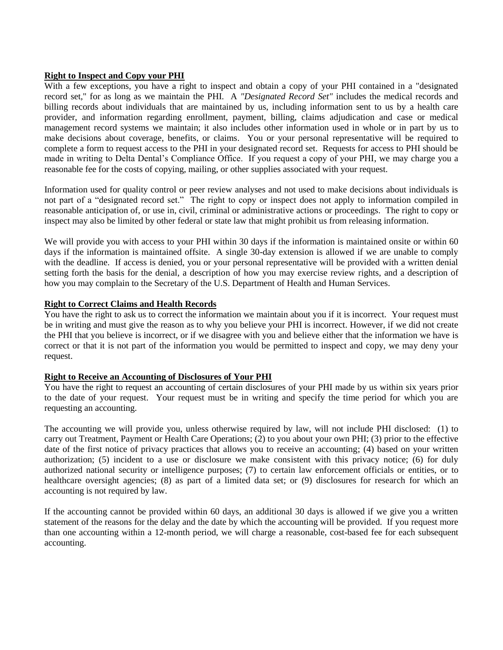#### **Right to Inspect and Copy your PHI**

With a few exceptions, you have a right to inspect and obtain a copy of your PHI contained in a "designated record set," for as long as we maintain the PHI. A *"Designated Record Set"* includes the medical records and billing records about individuals that are maintained by us, including information sent to us by a health care provider, and information regarding enrollment, payment, billing, claims adjudication and case or medical management record systems we maintain; it also includes other information used in whole or in part by us to make decisions about coverage, benefits, or claims. You or your personal representative will be required to complete a form to request access to the PHI in your designated record set. Requests for access to PHI should be made in writing to Delta Dental's Compliance Office. If you request a copy of your PHI, we may charge you a reasonable fee for the costs of copying, mailing, or other supplies associated with your request.

Information used for quality control or peer review analyses and not used to make decisions about individuals is not part of a "designated record set." The right to copy or inspect does not apply to information compiled in reasonable anticipation of, or use in, civil, criminal or administrative actions or proceedings. The right to copy or inspect may also be limited by other federal or state law that might prohibit us from releasing information.

We will provide you with access to your PHI within 30 days if the information is maintained onsite or within 60 days if the information is maintained offsite. A single 30-day extension is allowed if we are unable to comply with the deadline. If access is denied, you or your personal representative will be provided with a written denial setting forth the basis for the denial, a description of how you may exercise review rights, and a description of how you may complain to the Secretary of the U.S. Department of Health and Human Services.

#### **Right to Correct Claims and Health Records**

You have the right to ask us to correct the information we maintain about you if it is incorrect. Your request must be in writing and must give the reason as to why you believe your PHI is incorrect. However, if we did not create the PHI that you believe is incorrect, or if we disagree with you and believe either that the information we have is correct or that it is not part of the information you would be permitted to inspect and copy, we may deny your request.

# **Right to Receive an Accounting of Disclosures of Your PHI**

You have the right to request an accounting of certain disclosures of your PHI made by us within six years prior to the date of your request. Your request must be in writing and specify the time period for which you are requesting an accounting.

The accounting we will provide you, unless otherwise required by law, will not include PHI disclosed: (1) to carry out Treatment, Payment or Health Care Operations; (2) to you about your own PHI; (3) prior to the effective date of the first notice of privacy practices that allows you to receive an accounting; (4) based on your written authorization; (5) incident to a use or disclosure we make consistent with this privacy notice; (6) for duly authorized national security or intelligence purposes; (7) to certain law enforcement officials or entities, or to healthcare oversight agencies; (8) as part of a limited data set; or (9) disclosures for research for which an accounting is not required by law.

If the accounting cannot be provided within 60 days, an additional 30 days is allowed if we give you a written statement of the reasons for the delay and the date by which the accounting will be provided. If you request more than one accounting within a 12-month period, we will charge a reasonable, cost-based fee for each subsequent accounting.